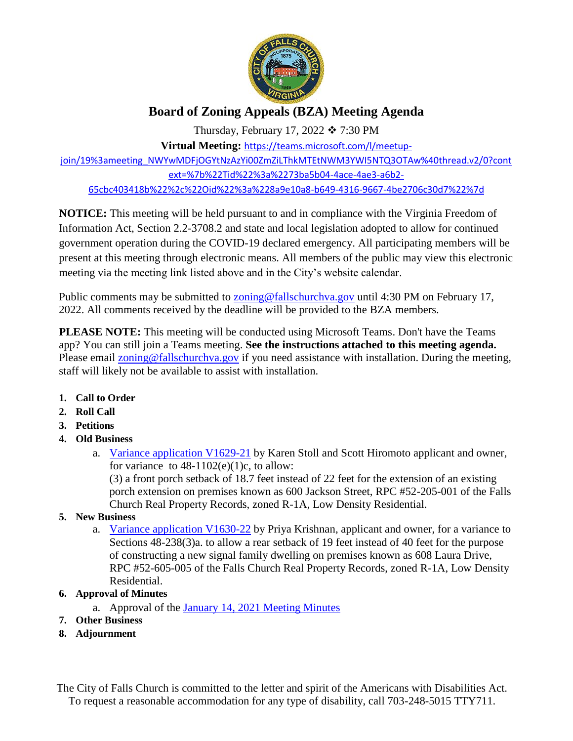

# **Board of Zoning Appeals (BZA) Meeting Agenda**

Thursday, February 17, 2022  $\div$  7:30 PM

**Virtual Meeting:** [https://teams.microsoft.com/l/meetup-](https://teams.microsoft.com/l/meetup-join/19%3ameeting_NWYwMDFjOGYtNzAzYi00ZmZiLThkMTEtNWM3YWI5NTQ3OTAw%40thread.v2/0?context=%7b%22Tid%22%3a%2273ba5b04-4ace-4ae3-a6b2-65cbc403418b%22%2c%22Oid%22%3a%228a9e10a8-b649-4316-9667-4be2706c30d7%22%7d)

[join/19%3ameeting\\_NWYwMDFjOGYtNzAzYi00ZmZiLThkMTEtNWM3YWI5NTQ3OTAw%40thread.v2/0?cont](https://teams.microsoft.com/l/meetup-join/19%3ameeting_NWYwMDFjOGYtNzAzYi00ZmZiLThkMTEtNWM3YWI5NTQ3OTAw%40thread.v2/0?context=%7b%22Tid%22%3a%2273ba5b04-4ace-4ae3-a6b2-65cbc403418b%22%2c%22Oid%22%3a%228a9e10a8-b649-4316-9667-4be2706c30d7%22%7d) [ext=%7b%22Tid%22%3a%2273ba5b04-4ace-4ae3-a6b2-](https://teams.microsoft.com/l/meetup-join/19%3ameeting_NWYwMDFjOGYtNzAzYi00ZmZiLThkMTEtNWM3YWI5NTQ3OTAw%40thread.v2/0?context=%7b%22Tid%22%3a%2273ba5b04-4ace-4ae3-a6b2-65cbc403418b%22%2c%22Oid%22%3a%228a9e10a8-b649-4316-9667-4be2706c30d7%22%7d) [65cbc403418b%22%2c%22Oid%22%3a%228a9e10a8-b649-4316-9667-4be2706c30d7%22%7d](https://teams.microsoft.com/l/meetup-join/19%3ameeting_NWYwMDFjOGYtNzAzYi00ZmZiLThkMTEtNWM3YWI5NTQ3OTAw%40thread.v2/0?context=%7b%22Tid%22%3a%2273ba5b04-4ace-4ae3-a6b2-65cbc403418b%22%2c%22Oid%22%3a%228a9e10a8-b649-4316-9667-4be2706c30d7%22%7d)

**NOTICE:** This meeting will be held pursuant to and in compliance with the Virginia Freedom of Information Act, Section 2.2-3708.2 and state and local legislation adopted to allow for continued government operation during the COVID-19 declared emergency. All participating members will be present at this meeting through electronic means. All members of the public may view this electronic meeting via the meeting link listed above and in the City's website calendar.

Public comments may be submitted to **zoning@fallschurchva.gov** until 4:30 PM on February 17, 2022. All comments received by the deadline will be provided to the BZA members.

**PLEASE NOTE:** This meeting will be conducted using Microsoft Teams. Don't have the Teams app? You can still join a Teams meeting. **See the instructions attached to this meeting agenda.**  Please email [zoning@fallschurchva.gov](mailto:zoning@fallschurchva.gov) if you need assistance with installation. During the meeting, staff will likely not be available to assist with installation.

- **1. Call to Order**
- **2. Roll Call**
- **3. Petitions**
- **4. Old Business**
	- a. [Variance application V1629-21](https://www.fallschurchva.gov/DocumentCenter/View/15760/600-Jackson-Street---BZA-Porch-21722-BZA-packet) by Karen Stoll and Scott Hiromoto applicant and owner, for variance to  $48-1102(e)(1)c$ , to allow:

(3) a front porch setback of 18.7 feet instead of 22 feet for the extension of an existing porch extension on premises known as 600 Jackson Street, RPC #52-205-001 of the Falls Church Real Property Records, zoned R-1A, Low Density Residential.

## **5. New Business**

a. [Variance application V1630-22](https://www.fallschurchva.gov/DocumentCenter/View/15759/608-Laura-21722-BZA-packet) by Priya Krishnan, applicant and owner, for a variance to Sections 48-238(3)a. to allow a rear setback of 19 feet instead of 40 feet for the purpose of constructing a new signal family dwelling on premises known as 608 Laura Drive, RPC #52-605-005 of the Falls Church Real Property Records, zoned R-1A, Low Density Residential.

# **6. Approval of Minutes**

- a. Approval of the [January 14, 2021 Meeting Minutes](https://www.fallschurchva.gov/DocumentCenter/View/15761/BZA-January-2022)
- **7. Other Business**
- **8. Adjournment**

The City of Falls Church is committed to the letter and spirit of the Americans with Disabilities Act. To request a reasonable accommodation for any type of disability, call 703-248-5015 TTY711.